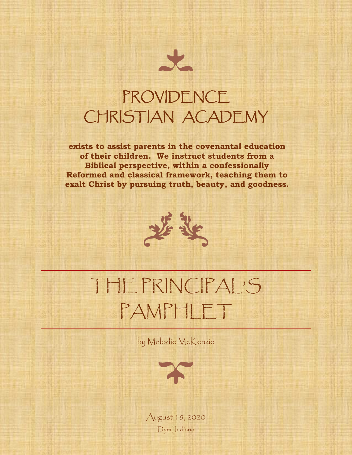

## PROVIDENCE CHRISTIAN ACADEMY

**exists to assist parents in the covenantal education of their children. We instruct students from a Biblical perspective, within a confessionally Reformed and classical framework, teaching them to exalt Christ by pursuing truth, beauty, and goodness.**



# THE PRINCIPAL'S PAMPHLET

by Melodie McKenzie



August 18, 2020 Dyer, Indiana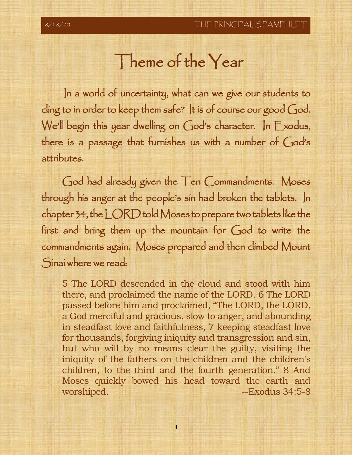#### Theme of the Year

 In a world of uncertainty, what can we give our students to cling to in order to keep them safe? It is of course our good God. We'll begin this year dwelling on God's character. In Exodus, there is a passage that furnishes us with a number of God's attributes.

God had already given the Ten Commandments. Moses through his anger at the people's sin had broken the tablets. In chapter 34, the LORD told Moses to prepare two tablets like the first and bring them up the mountain for God to write the commandments again. Moses prepared and then climbed Mount Sinai where we read:

5 The LORD descended in the cloud and stood with him there, and proclaimed the name of the LORD. 6 The LORD passed before him and proclaimed, "The LORD, the LORD, a God merciful and gracious, slow to anger, and abounding in steadfast love and faithfulness, 7 keeping steadfast love for thousands, forgiving iniquity and transgression and sin, but who will by no means clear the guilty, visiting the iniquity of the fathers on the children and the children's children, to the third and the fourth generation." 8 And Moses quickly bowed his head toward the earth and worshiped. **--Exodus** 34:5-8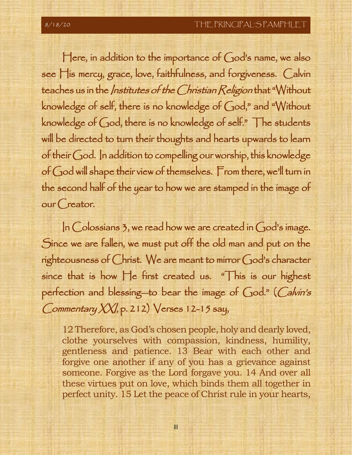Here, in addition to the importance of God's name, we also see His mercy, grace, love, faithfulness, and forgiveness. Calvin teaches us in the *Institutes of the Christian Religion* that "Without knowledge of self, there is no knowledge of God," and "Without knowledge of God, there is no knowledge of self." The students will be directed to turn their thoughts and hearts upwards to learn of their God. In addition to compelling our worship, this knowledge of God will shape their view of themselves. From there, we'll turn in the second half of the year to how we are stamped in the image of our Creator.

In Colossians 3, we read how we are created in God's image. Since we are fallen, we must put off the old man and put on the righteousness of Christ. We are meant to mirror God's character since that is how He first created us. "This is our highest perfection and blessing—to bear the image of God." (Calvin's Commentary XXI, p. 212) Verses 12-15 say,

12 Therefore, as God's chosen people, holy and dearly loved, clothe yourselves with compassion, kindness, humility, gentleness and patience. 13 Bear with each other and forgive one another if any of you has a grievance against someone. Forgive as the Lord forgave you. 14 And over all these virtues put on love, which binds them all together in perfect unity. 15 Let the peace of Christ rule in your hearts,

III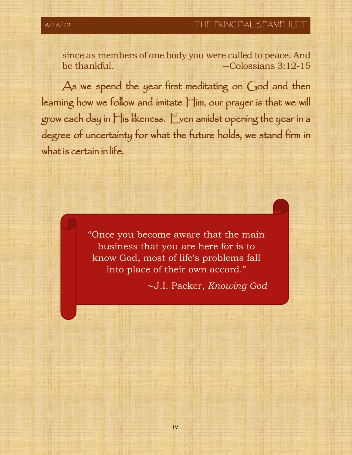since as members of one body you were called to peace. And  $be$  thankful.  $\qquad \qquad -\text{Colossians } 3:12-15$ 

As we spend the year first meditating on God and then learning how we follow and imitate Him, our prayer is that we will grow each day in His likeness. Even amidst opening the year in a degree of uncertainty for what the future holds, we stand firm in what is certain in life.

> "Once you become aware that the main business that you are here for is to know God, most of life's problems fall into place of their own accord."

> > ∼J.I. Packer, *Knowing God*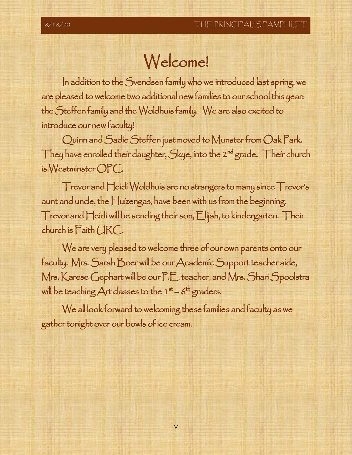### Welcome!

In addition to the Svendsen family who we introduced last spring, we are pleased to welcome two additional new families to our school this year: the Steffen family and the Woldhuis family. We are also excited to introduce our new faculty!

Quinn and Sadie Steffen just moved to Munster from Oak Park. They have enrolled their daughter, Skye, into the 2<sup>nd</sup> grade. Their church is Westminster OPC.

Trevor and Heidi Woldhuis are no strangers to many since Trevor's aunt and uncle, the Huizengas, have been with us from the beginning. Trevor and Heidi will be sending their son, Elijah, to kindergarten. Their church is Faith URC.

We are very pleased to welcome three of our own parents onto our faculty. Mrs. Sarah Boer will be our Academic Support teacher aide, Mrs. Karese Gephart will be our P.E. teacher, and Mrs. Shari Spoolstra will be teaching Art classes to the 1st - 6th graders.

We all look forward to welcoming these families and faculty as we gather tonight over our bowls of ice cream.

V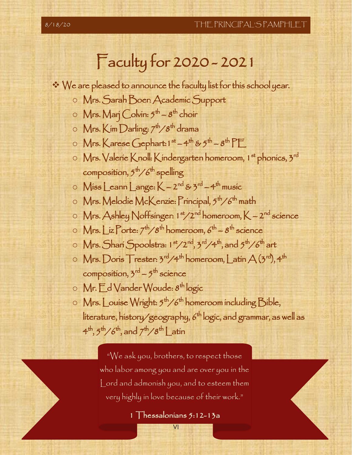# Faculty for 2020 - 2021

- ❖ We are pleased to announce the faculty list for this school year.
	- o Mrs. Sarah Boer: Academic Support
	- 0 Mrs. Marj Colvin: 5<sup>th</sup> 8<sup>th</sup> choir
	- $\circ\;$  Mrs. Kim Darling:  $7^{\sf th}/8^{\sf th}$  drama
	- $\circ\;$  Mrs. Karese Gephart: 1  $^{\rm st}$  4th & 5th 8th PE
	- o Mrs. Valerie Knoll: Kindergarten homeroom, 1st phonics, 3rd composition,  $5^{\text{th}}\diagup6^{\text{th}}$  spelling
	- $\circ$  Miss Leann Lange:  $K 2^{nd}$  & 3<sup>rd</sup>  $-4^{th}$  music
	- o Mrs. Melodie McKenzie: Principal, 5<sup>th</sup>/6<sup>th</sup> math
	- $\circ$  Mrs. Ashley Noffsinger: 1<sup>st</sup>/2<sup>nd</sup> homeroom, K 2<sup>nd</sup> science
	- $\circ \mathsf{Mrs}\_\mathsf{iz} \mathsf{Porte:} \: 7^\mathsf{th}\diagup 8^\mathsf{th}$  homeroom,  $6^\mathsf{th}\text{--}8^\mathsf{th}$  science
	- $\circ\;{\sf Mrs.}$ Shari Spoolstra: 1 <sup>st</sup>/2<sup>nd</sup>, 3<sup>rd</sup>/4<sup>th</sup>, and 5<sup>th</sup>/6<sup>th</sup> art
	- $\circ \mathsf{Mrs}\ldotp \mathsf{Doris}\mathsf{Trester}\colon 3^{\mathsf{rd}}/4^{\mathsf{th}}\,\mathsf{homeroom}\mathsf{L}\textsf{atin}\,\mathsf{A}\,(3^{\mathsf{rd}}\mathsf{A}\,4^{\mathsf{th}}\,$ composition, 3<sup>rd</sup> – 5<sup>th</sup> science
	- o Mr. $\mathsf E^\mathsf d$  Vander Woude: 8<sup>th</sup> logic
	- $\circ$  Mrs. Louise Wright: 5<sup>th</sup>/6<sup>th</sup> homeroom including Bible, líterature, hístory/geography, 6<sup>th</sup> logíc, and grammar, as well as  $4^\text{th}, 5^\text{th} / 6^\text{th},$  and  $7^\text{th} / 8^\text{th}$   $\bigcup \text{atin}$

 "We ask you, brothers, to respect those who labor among you and are over you in the Lord and admonish you, and to esteem them very highly in love because of their work."

1 Thessalonians 5:12-13a